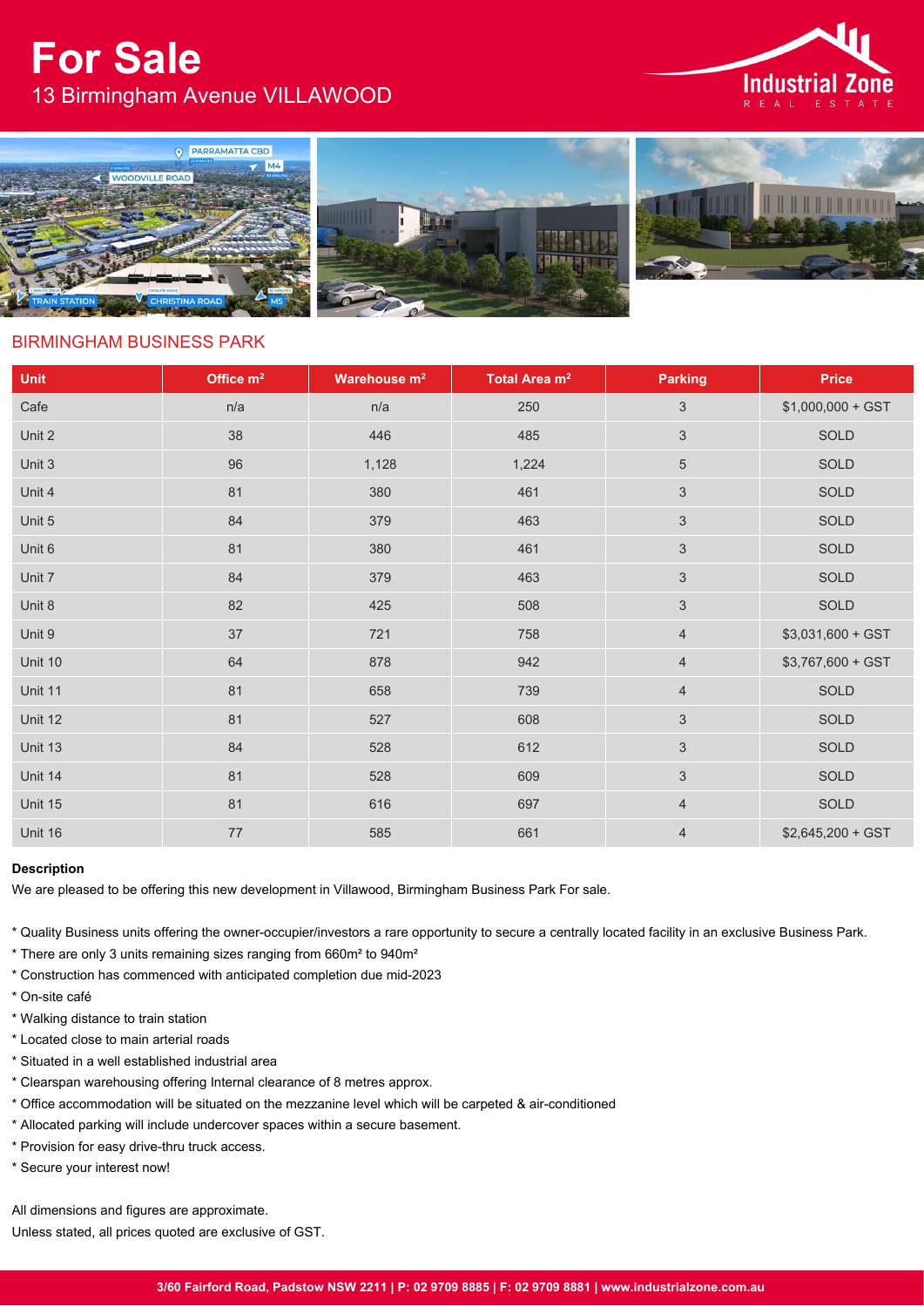# **For Sale** 13 Birmingham Avenue VILLAWOOD









# BIRMINGHAM BUSINESS PARK

| <b>Unit</b> | Office m <sup>2</sup> | Warehouse m <sup>2</sup> | Total Area m <sup>2</sup> | <b>Parking</b>            | Price              |
|-------------|-----------------------|--------------------------|---------------------------|---------------------------|--------------------|
| Cafe        | n/a                   | n/a                      | 250                       | $\sqrt{3}$                | $$1,000,000 + GST$ |
| Unit 2      | 38                    | 446                      | 485                       | $\ensuremath{\mathsf{3}}$ | SOLD               |
| Unit 3      | 96                    | 1,128                    | 1,224                     | $\,$ 5 $\,$               | SOLD               |
| Unit 4      | 81                    | 380                      | 461                       | $\ensuremath{\mathsf{3}}$ | SOLD               |
| Unit 5      | 84                    | 379                      | 463                       | $\sqrt{3}$                | SOLD               |
| Unit 6      | 81                    | 380                      | 461                       | $\sqrt{3}$                | SOLD               |
| Unit 7      | 84                    | 379                      | 463                       | $\ensuremath{\mathsf{3}}$ | SOLD               |
| Unit 8      | 82                    | 425                      | 508                       | $\ensuremath{\mathsf{3}}$ | SOLD               |
| Unit 9      | 37                    | 721                      | 758                       | $\overline{4}$            | $$3,031,600 + GST$ |
| Unit 10     | 64                    | 878                      | 942                       | $\overline{4}$            | $$3,767,600 + GST$ |
| Unit 11     | 81                    | 658                      | 739                       | $\overline{4}$            | SOLD               |
| Unit 12     | 81                    | 527                      | 608                       | $\ensuremath{\mathsf{3}}$ | SOLD               |
| Unit 13     | 84                    | 528                      | 612                       | $\ensuremath{\mathsf{3}}$ | SOLD               |
| Unit 14     | 81                    | 528                      | 609                       | $\ensuremath{\mathsf{3}}$ | SOLD               |
| Unit 15     | 81                    | 616                      | 697                       | $\overline{4}$            | SOLD               |
| Unit 16     | 77                    | 585                      | 661                       | $\overline{4}$            | $$2,645,200 + GST$ |

#### **Description**

We are pleased to be offering this new development in Villawood, Birmingham Business Park For sale.

\* Quality Business units offering the owner-occupier/investors a rare opportunity to secure a centrally located facility in an exclusive Business Park.

- \* There are only 3 units remaining sizes ranging from 660m² to 940m²
- \* Construction has commenced with anticipated completion due mid-2023
- \* On-site café
- \* Walking distance to train station
- \* Located close to main arterial roads
- \* Situated in a well established industrial area
- \* Clearspan warehousing offering Internal clearance of 8 metres approx.
- \* Office accommodation will be situated on the mezzanine level which will be carpeted & air-conditioned
- \* Allocated parking will include undercover spaces within a secure basement.
- \* Provision for easy drive-thru truck access.
- \* Secure your interest now!

All dimensions and figures are approximate.

Unless stated, all prices quoted are exclusive of GST.